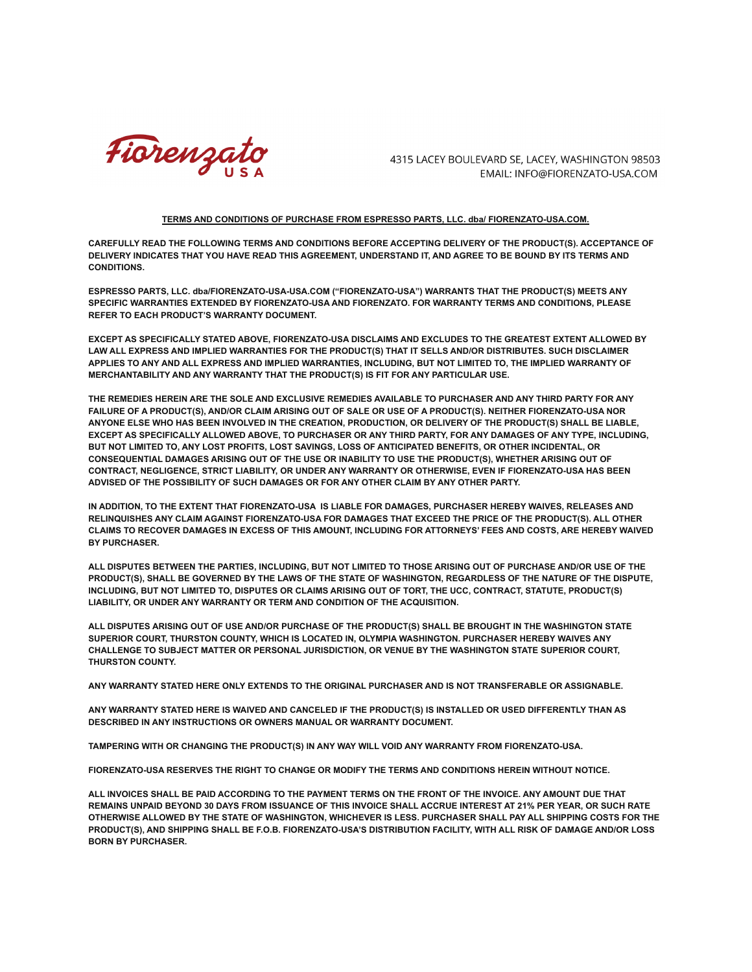

4315 LACEY BOULEVARD SE, LACEY, WASHINGTON 98503 EMAIL: INFO@FIORENZATO-USA.COM

## **TERMS AND CONDITIONS OF PURCHASE FROM ESPRESSO PARTS, LLC. dba/ FIORENZATO-USA.COM.**

**CAREFULLY READ THE FOLLOWING TERMS AND CONDITIONS BEFORE ACCEPTING DELIVERY OF THE PRODUCT(S). ACCEPTANCE OF** DELIVERY INDICATES THAT YOU HAVE READ THIS AGREEMENT, UNDERSTAND IT, AND AGREE TO BE BOUND BY ITS TERMS AND **CONDITIONS.**

**ESPRESSO PARTS, LLC. dba/FIORENZATO-USA-USA.COM ("FIORENZATO-USA") WARRANTS THAT THE PRODUCT(S) MEETS ANY SPECIFIC WARRANTIES EXTENDED BY FIORENZATO-USA AND FIORENZATO. FOR WARRANTY TERMS AND CONDITIONS, PLEASE REFER TO EACH PRODUCT'S WARRANTY DOCUMENT.**

**EXCEPT AS SPECIFICALLY STATED ABOVE, FIORENZATO-USA DISCLAIMS AND EXCLUDES TO THE GREATEST EXTENT ALLOWED BY LAW ALL EXPRESS AND IMPLIED WARRANTIES FOR THE PRODUCT(S) THAT IT SELLS AND/OR DISTRIBUTES. SUCH DISCLAIMER** APPLIES TO ANY AND ALL EXPRESS AND IMPLIED WARRANTIES, INCLUDING, BUT NOT LIMITED TO, THE IMPLIED WARRANTY OF **MERCHANTABILITY AND ANY WARRANTY THAT THE PRODUCT(S) IS FIT FOR ANY PARTICULAR USE.**

THE REMEDIES HEREIN ARE THE SOLE AND EXCLUSIVE REMEDIES AVAILABLE TO PURCHASER AND ANY THIRD PARTY FOR ANY FAILURE OF A PRODUCT(S), AND/OR CLAIM ARISING OUT OF SALE OR USE OF A PRODUCT(S). NEITHER FIORENZATO-USA NOR ANYONE ELSE WHO HAS BEEN INVOLVED IN THE CREATION, PRODUCTION, OR DELIVERY OF THE PRODUCT(S) SHALL BE LIABLE, EXCEPT AS SPECIFICALLY ALLOWED ABOVE. TO PURCHASER OR ANY THIRD PARTY. FOR ANY DAMAGES OF ANY TYPE, INCLUDING, **BUT NOT LIMITED TO, ANY LOST PROFITS, LOST SAVINGS, LOSS OF ANTICIPATED BENEFITS, OR OTHER INCIDENTAL, OR CONSEQUENTIAL DAMAGES ARISING OUT OF THE USE OR INABILITY TO USE THE PRODUCT(S), WHETHER ARISING OUT OF CONTRACT, NEGLIGENCE, STRICT LIABILITY, OR UNDER ANY WARRANTY OR OTHERWISE, EVEN IF FIORENZATO-USA HAS BEEN ADVISED OF THE POSSIBILITY OF SUCH DAMAGES OR FOR ANY OTHER CLAIM BY ANY OTHER PARTY.**

**IN ADDITION, TO THE EXTENT THAT FIORENZATO-USA IS LIABLE FOR DAMAGES, PURCHASER HEREBY WAIVES, RELEASES AND RELINQUISHES ANY CLAIM AGAINST FIORENZATO-USA FOR DAMAGES THAT EXCEED THE PRICE OF THE PRODUCT(S). ALL OTHER** CLAIMS TO RECOVER DAMAGES IN EXCESS OF THIS AMOUNT, INCLUDING FOR ATTORNEYS' FEES AND COSTS, ARE HEREBY WAIVED **BY PURCHASER.**

ALL DISPUTES BETWEEN THE PARTIES, INCLUDING, BUT NOT LIMITED TO THOSE ARISING OUT OF PURCHASE AND/OR USE OF THE PRODUCT(S), SHALL BE GOVERNED BY THE LAWS OF THE STATE OF WASHINGTON, REGARDLESS OF THE NATURE OF THE DISPUTE, INCLUDING, BUT NOT LIMITED TO, DISPUTES OR CLAIMS ARISING OUT OF TORT, THE UCC, CONTRACT, STATUTE, PRODUCT(S) **LIABILITY, OR UNDER ANY WARRANTY OR TERM AND CONDITION OF THE ACQUISITION.**

ALL DISPUTES ARISING OUT OF USE AND/OR PURCHASE OF THE PRODUCT(S) SHALL BE BROUGHT IN THE WASHINGTON STATE **SUPERIOR COURT, THURSTON COUNTY, WHICH IS LOCATED IN, OLYMPIA WASHINGTON. PURCHASER HEREBY WAIVES ANY CHALLENGE TO SUBJECT MATTER OR PERSONAL JURISDICTION, OR VENUE BY THE WASHINGTON STATE SUPERIOR COURT, THURSTON COUNTY.**

**ANY WARRANTY STATED HERE ONLY EXTENDS TO THE ORIGINAL PURCHASER AND IS NOT TRANSFERABLE OR ASSIGNABLE.**

ANY WARRANTY STATED HERE IS WAIVED AND CANCELED IF THE PRODUCT(S) IS INSTALLED OR USED DIFFERENTLY THAN AS **DESCRIBED IN ANY INSTRUCTIONS OR OWNERS MANUAL OR WARRANTY DOCUMENT.**

**TAMPERING WITH OR CHANGING THE PRODUCT(S) IN ANY WAY WILL VOID ANY WARRANTY FROM FIORENZATO-USA.**

**FIORENZATO-USA RESERVES THE RIGHT TO CHANGE OR MODIFY THE TERMS AND CONDITIONS HEREIN WITHOUT NOTICE.**

ALL INVOICES SHALL BE PAID ACCORDING TO THE PAYMENT TERMS ON THE FRONT OF THE INVOICE. ANY AMOUNT DUE THAT REMAINS UNPAID BEYOND 30 DAYS FROM ISSUANCE OF THIS INVOICE SHALL ACCRUE INTEREST AT 21% PER YEAR, OR SUCH RATE OTHERWISE ALLOWED BY THE STATE OF WASHINGTON. WHICHEVER IS LESS. PURCHASER SHALL PAY ALL SHIPPING COSTS FOR THE PRODUCT(S), AND SHIPPING SHALL BE F.O.B. FIORENZATO-USA'S DISTRIBUTION FACILITY, WITH ALL RISK OF DAMAGE AND/OR LOSS **BORN BY PURCHASER.**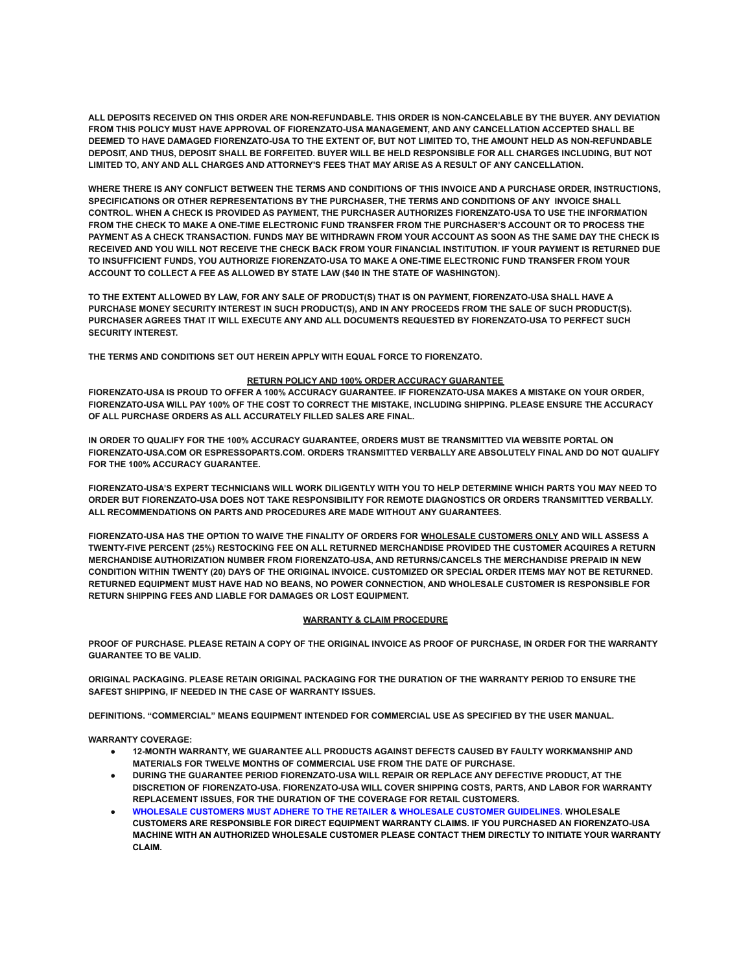ALL DEPOSITS RECEIVED ON THIS ORDER ARE NON-REFUNDABLE. THIS ORDER IS NON-CANCELABLE BY THE BUYER. ANY DEVIATION **FROM THIS POLICY MUST HAVE APPROVAL OF FIORENZATO-USA MANAGEMENT, AND ANY CANCELLATION ACCEPTED SHALL BE** DEEMED TO HAVE DAMAGED FIORENZATO-USA TO THE EXTENT OF, BUT NOT LIMITED TO, THE AMOUNT HELD AS NON-REFUNDABLE DEPOSIT, AND THUS, DEPOSIT SHALL BE FORFEITED, BUYER WILL BE HELD RESPONSIBLE FOR ALL CHARGES INCLUDING, BUT NOT LIMITED TO, ANY AND ALL CHARGES AND ATTORNEY'S FEES THAT MAY ARISE AS A RESULT OF ANY CANCELLATION.

WHERE THERE IS ANY CONFLICT BETWEEN THE TERMS AND CONDITIONS OF THIS INVOICE AND A PURCHASE ORDER. INSTRUCTIONS. **SPECIFICATIONS OR OTHER REPRESENTATIONS BY THE PURCHASER, THE TERMS AND CONDITIONS OF ANY INVOICE SHALL CONTROL. WHEN A CHECK IS PROVIDED AS PAYMENT, THE PURCHASER AUTHORIZES FIORENZATO-USA TO USE THE INFORMATION** FROM THE CHECK TO MAKE A ONE-TIME ELECTRONIC FUND TRANSFER FROM THE PURCHASER'S ACCOUNT OR TO PROCESS THE PAYMENT AS A CHECK TRANSACTION. FUNDS MAY BE WITHDRAWN FROM YOUR ACCOUNT AS SOON AS THE SAME DAY THE CHECK IS RECEIVED AND YOU WILL NOT RECEIVE THE CHECK BACK FROM YOUR FINANCIAL INSTITUTION. IF YOUR PAYMENT IS RETURNED DUE **TO INSUFFICIENT FUNDS, YOU AUTHORIZE FIORENZATO-USA TO MAKE A ONE-TIME ELECTRONIC FUND TRANSFER FROM YOUR ACCOUNT TO COLLECT A FEE AS ALLOWED BY STATE LAW (\$40 IN THE STATE OF WASHINGTON).**

TO THE EXTENT ALLOWED BY LAW, FOR ANY SALE OF PRODUCT(S) THAT IS ON PAYMENT, FIORENZATO-USA SHALL HAVE A PURCHASE MONEY SECURITY INTEREST IN SUCH PRODUCT(S), AND IN ANY PROCEEDS FROM THE SALE OF SUCH PRODUCT(S). **PURCHASER AGREES THAT IT WILL EXECUTE ANY AND ALL DOCUMENTS REQUESTED BY FIORENZATO-USA TO PERFECT SUCH SECURITY INTEREST.**

**THE TERMS AND CONDITIONS SET OUT HEREIN APPLY WITH EQUAL FORCE TO FIORENZATO.**

## **RETURN POLICY AND 100% ORDER ACCURACY GUARANTEE**

FIORENZATO-USA IS PROUD TO OFFER A 100% ACCURACY GUARANTEE. IF FIORENZATO-USA MAKES A MISTAKE ON YOUR ORDER, FIORENZATO-USA WILL PAY 100% OF THE COST TO CORRECT THE MISTAKE, INCLUDING SHIPPING. PLEASE ENSURE THE ACCURACY **OF ALL PURCHASE ORDERS AS ALL ACCURATELY FILLED SALES ARE FINAL.**

**IN ORDER TO QUALIFY FOR THE 100% ACCURACY GUARANTEE, ORDERS MUST BE TRANSMITTED VIA WEBSITE PORTAL ON FIORENZATO-USA.COM OR ESPRESSOPARTS.COM. ORDERS TRANSMITTED VERBALLY ARE ABSOLUTELY FINAL AND DO NOT QUALIFY FOR THE 100% ACCURACY GUARANTEE.**

FIORENZATO-USA'S EXPERT TECHNICIANS WILL WORK DILIGENTLY WITH YOU TO HELP DETERMINE WHICH PARTS YOU MAY NEED TO **ORDER BUT FIORENZATO-USA DOES NOT TAKE RESPONSIBILITY FOR REMOTE DIAGNOSTICS OR ORDERS TRANSMITTED VERBALLY. ALL RECOMMENDATIONS ON PARTS AND PROCEDURES ARE MADE WITHOUT ANY GUARANTEES.**

FIORENZATO-USA HAS THE OPTION TO WAIVE THE FINALITY OF ORDERS FOR WHOLESALE CUSTOMERS ONLY AND WILL ASSESS A **TWENTY-FIVE PERCENT (25%) RESTOCKING FEE ON ALL RETURNED MERCHANDISE PROVIDED THE CUSTOMER ACQUIRES A RETURN MERCHANDISE AUTHORIZATION NUMBER FROM FIORENZATO-USA, AND RETURNS/CANCELS THE MERCHANDISE PREPAID IN NEW** CONDITION WITHIN TWENTY (20) DAYS OF THE ORIGINAL INVOICE. CUSTOMIZED OR SPECIAL ORDER ITEMS MAY NOT BE RETURNED. **RETURNED EQUIPMENT MUST HAVE HAD NO BEANS, NO POWER CONNECTION, AND WHOLESALE CUSTOMER IS RESPONSIBLE FOR RETURN SHIPPING FEES AND LIABLE FOR DAMAGES OR LOST EQUIPMENT.**

## **WARRANTY & CLAIM PROCEDURE**

PROOF OF PURCHASE. PLEASE RETAIN A COPY OF THE ORIGINAL INVOICE AS PROOF OF PURCHASE, IN ORDER FOR THE WARRANTY **GUARANTEE TO BE VALID.**

**ORIGINAL PACKAGING. PLEASE RETAIN ORIGINAL PACKAGING FOR THE DURATION OF THE WARRANTY PERIOD TO ENSURE THE SAFEST SHIPPING, IF NEEDED IN THE CASE OF WARRANTY ISSUES.**

**DEFINITIONS. "COMMERCIAL" MEANS EQUIPMENT INTENDED FOR COMMERCIAL USE AS SPECIFIED BY THE USER MANUAL.**

**WARRANTY COVERAGE:**

- **● 12-MONTH WARRANTY, WE GUARANTEE ALL PRODUCTS AGAINST DEFECTS CAUSED BY FAULTY WORKMANSHIP AND MATERIALS FOR TWELVE MONTHS OF COMMERCIAL USE FROM THE DATE OF PURCHASE.**
- **● DURING THE GUARANTEE PERIOD FIORENZATO-USA WILL REPAIR OR REPLACE ANY DEFECTIVE PRODUCT, AT THE DISCRETION OF FIORENZATO-USA. FIORENZATO-USA WILL COVER SHIPPING COSTS, PARTS, AND LABOR FOR WARRANTY REPLACEMENT ISSUES, FOR THE DURATION OF THE COVERAGE FOR RETAIL CUSTOMERS.**
- **● WHOLESALE CUSTOMERS MUST ADHERE TO THE RETAILER & WHOLESALE CUSTOMER GUIDELINES. WHOLESALE CUSTOMERS ARE RESPONSIBLE FOR DIRECT EQUIPMENT WARRANTY CLAIMS. IF YOU PURCHASED AN FIORENZATO-USA MACHINE WITH AN AUTHORIZED WHOLESALE CUSTOMER PLEASE CONTACT THEM DIRECTLY TO INITIATE YOUR WARRANTY CLAIM.**